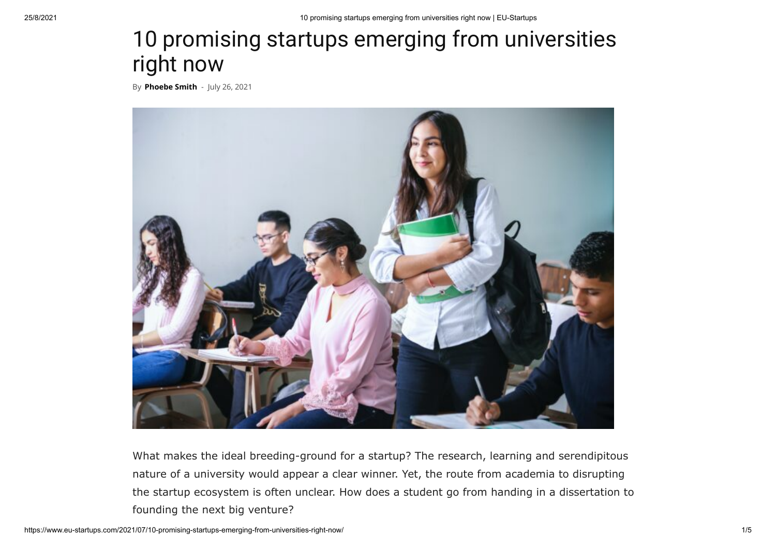## 10 promising startups emerging from universities right now

By **[Phoebe Smith](https://www.eu-startups.com/author/phoebe/)** - July 26, 2021



What makes the ideal breeding-ground for a startup? The research, learning and serendipitous nature of a university would appear a clear winner. Yet, the route from academia to disrupting the startup ecosystem is often unclear. How does a student go from handing in a dissertation to founding the next big venture?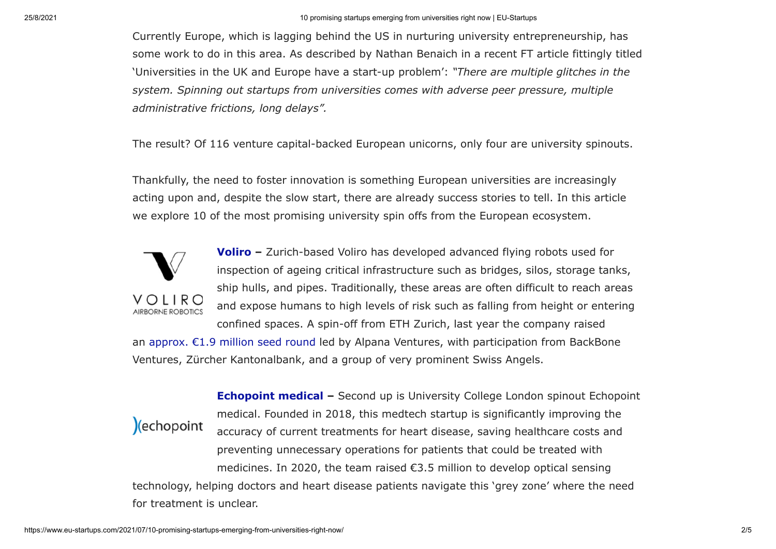25/8/2021 10 promising startups emerging from universities right now | EU-Startups

Currently Europe, which is lagging behind the US in nurturing university entrepreneurship, has some work to do in this area. As described by Nathan Benaich in a recent FT article fittingly titled 'Universities in the UK and Europe have a start-up problem': *"There are multiple glitches in the system. Spinning out startups from universities comes with adverse peer pressure, multiple administrative frictions, long delays".*

The result? Of 116 venture capital-backed European unicorns, only four are university spinouts.

Thankfully, the need to foster innovation is something European universities are increasingly acting upon and, despite the slow start, there are already success stories to tell. In this article we explore 10 of the most promising university spin offs from the European ecosystem.



**[Voliro](https://voliro.com/) –** Zurich-based Voliro has developed advanced flying robots used for inspection of ageing critical infrastructure such as bridges, silos, storage tanks, ship hulls, and pipes. Traditionally, these areas are often difficult to reach areas and expose humans to high levels of risk such as falling from height or entering confined spaces. A spin-off from ETH Zurich, last year the company raised

an [approx. €1.9 million seed round](https://www.eu-startups.com/2020/09/zurich-based-voliro-closes-e1-9-million-seed-round-to-develop-advanced-flying-inspection-robots/) led by Alpana Ventures, with participation from BackBone Ventures, Zürcher Kantonalbank, and a group of very prominent Swiss Angels.



**[Echopoint medical](https://www.echopointmedical.com/) –** Second up is University College London spinout Echopoint medical. Founded in 2018, this medtech startup is significantly improving the accuracy of current treatments for heart disease, saving healthcare costs and preventing unnecessary operations for patients that could be treated with medicines. In 2020, the team raised  $\epsilon$ 3.5 million to develop optical sensing technology, helping doctors and heart disease patients navigate this 'grey zone' where the need for treatment is unclear.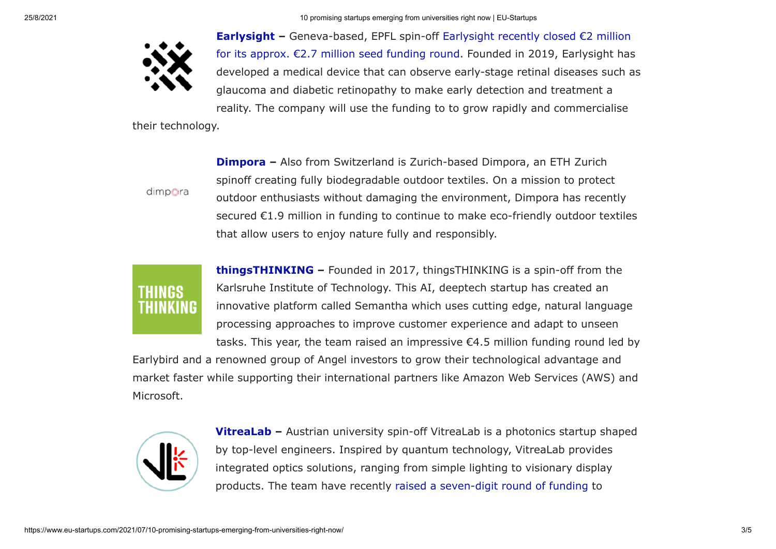25/8/2021 10 promising startups emerging from universities right now | EU-Startups



**[Earlysight](https://www.earlysight.com/) –** Geneva-based, EPFL spin-off Earlysight recently closed €2 million [for its approx. €2.7 million seed funding round. Founded in 2019, Earlysight has](https://www.eu-startups.com/2021/05/geneva-based-earlysight-lands-e2-million-for-its-eye-diseases-diagnostic-tool/) developed a medical device that can observe early-stage retinal diseases such as glaucoma and diabetic retinopathy to make early detection and treatment a reality. The company will use the funding to to grow rapidly and commercialise

their technology.

dimpora

**[Dimpora](https://dimpora.com/) –** Also from Switzerland is Zurich-based Dimpora, an ETH Zurich spinoff creating fully biodegradable outdoor textiles. On a mission to protect outdoor enthusiasts without damaging the environment, Dimpora has recently secured €1.9 million in funding to continue to make eco-friendly outdoor textiles that allow users to enjoy nature fully and responsibly.



**[thingsTHINKING](https://www.semantha.de/about-thingsthinking/) –** Founded in 2017, thingsTHINKING is a spin-off from the Karlsruhe Institute of Technology. This AI, deeptech startup has created an innovative platform called Semantha which uses cutting edge, natural language processing approaches to improve customer experience and adapt to unseen tasks. This year, the team raised an impressive  $\epsilon$ 4.5 million funding round led by

Earlybird and a renowned group of Angel investors to grow their technological advantage and market faster while supporting their international partners like Amazon Web Services (AWS) and Microsoft.



**[VitreaLab](https://vitrealab.com/) –** Austrian university spin-off VitreaLab is a photonics startup shaped by top-level engineers. Inspired by quantum technology, VitreaLab provides integrated optics solutions, ranging from simple lighting to visionary display products. The team have recently [raised a seven-digit round of funding](https://www.eu-startups.com/2021/05/vienna-based-vitrealab-nabs-seven-digit-seed-round-to-increase-efficiency-and-brightness-of-smartphone-displays/) to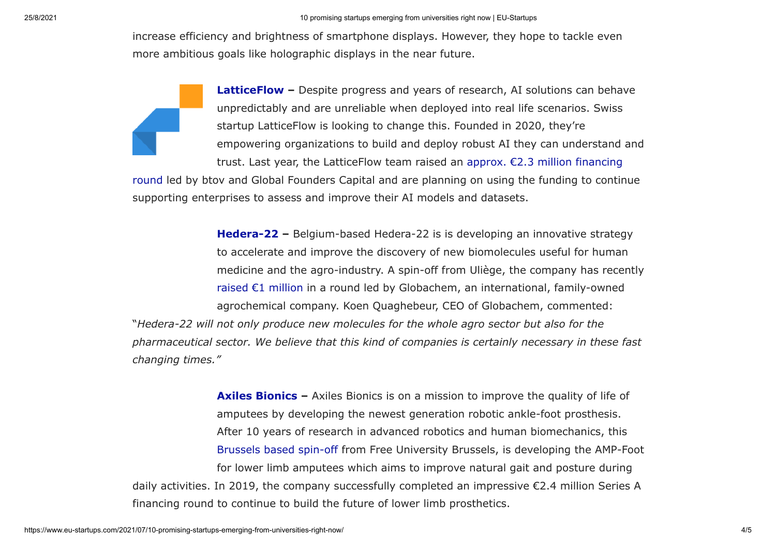increase efficiency and brightness of smartphone displays. However, they hope to tackle even more ambitious goals like holographic displays in the near future.

> **[LatticeFlow](https://latticeflow.ai/)** – Despite progress and years of research, AI solutions can behave unpredictably and are unreliable when deployed into real life scenarios. Swiss startup LatticeFlow is looking to change this. Founded in 2020, they're empowering organizations to build and deploy robust AI they can understand and trust. Last year, the LatticeFlow team raised an approx. €2.3 million financing

[round led by btov and Global Founders Capital and are planning on using the funding to contin](https://www.eu-startups.com/2021/01/zurich-based-latticeflow-raises-e2-3-million-to-help-companies-build-and-deploy-reliable-and-trustworthy-ai/)ue supporting enterprises to assess and improve their AI models and datasets.

> **[Hedera-22](https://npd.hedera22.com/) –** Belgium-based Hedera-22 is is developing an innovative strategy to accelerate and improve the discovery of new biomolecules useful for human medicine and the agro-industry. A spin-off from Uliège, the company has recently [raised €1 million](https://www.eu-startups.com/2020/09/belgian-startup-hedera-22-raises-e1-million-to-discover-biomolecules-with-human-medicine-and-agricultural-applications/) in a round led by Globachem, an international, family-owned agrochemical company. Koen Quaghebeur, CEO of Globachem, commented:

"*Hedera-22 will not only produce new molecules for the whole agro sector but also for the pharmaceutical sector. We believe that this kind of companies is certainly necessary in these fast changing times."*

**[Axiles Bionics](https://www.axilesbionics.com/) –** Axiles Bionics is on a mission to improve the quality of life of amputees by developing the newest generation robotic ankle-foot prosthesis. After 10 years of research in advanced robotics and human biomechanics, this [Brussels based spin-off](https://www.eu-startups.com/2020/02/10-promising-european-robotics-startups-to-watch-in-2020/) from Free University Brussels, is developing the AMP-Foot for lower limb amputees which aims to improve natural gait and posture during daily activities. In 2019, the company successfully completed an impressive €2.4 million Series A financing round to continue to build the future of lower limb prosthetics.